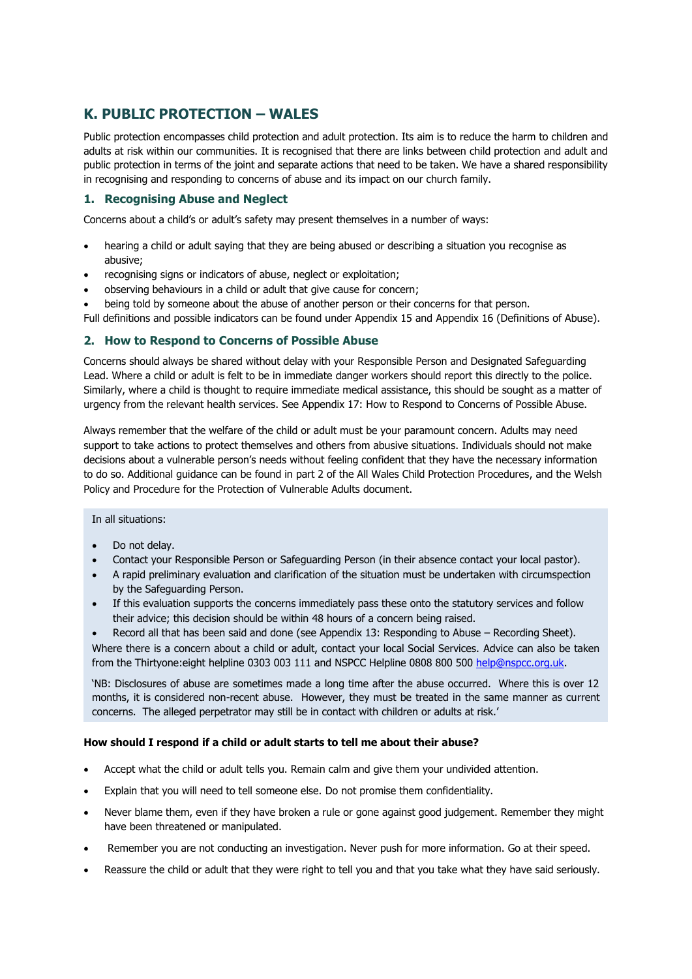# **K. PUBLIC PROTECTION – WALES**

Public protection encompasses child protection and adult protection. Its aim is to reduce the harm to children and adults at risk within our communities. It is recognised that there are links between child protection and adult and public protection in terms of the joint and separate actions that need to be taken. We have a shared responsibility in recognising and responding to concerns of abuse and its impact on our church family.

# **1. Recognising Abuse and Neglect**

Concerns about a child's or adult's safety may present themselves in a number of ways:

- hearing a child or adult saying that they are being abused or describing a situation you recognise as abusive;
- recognising signs or indicators of abuse, neglect or exploitation;
- observing behaviours in a child or adult that give cause for concern;
- being told by someone about the abuse of another person or their concerns for that person.
- Full definitions and possible indicators can be found under Appendix 15 and Appendix 16 (Definitions of Abuse).

# **2. How to Respond to Concerns of Possible Abuse**

Concerns should always be shared without delay with your Responsible Person and Designated Safeguarding Lead. Where a child or adult is felt to be in immediate danger workers should report this directly to the police. Similarly, where a child is thought to require immediate medical assistance, this should be sought as a matter of urgency from the relevant health services. See Appendix 17: How to Respond to Concerns of Possible Abuse.

Always remember that the welfare of the child or adult must be your paramount concern. Adults may need support to take actions to protect themselves and others from abusive situations. Individuals should not make decisions about a vulnerable person's needs without feeling confident that they have the necessary information to do so. Additional guidance can be found in part 2 of the All Wales Child Protection Procedures, and the Welsh Policy and Procedure for the Protection of Vulnerable Adults document.

In all situations:

- Do not delay.
- Contact your Responsible Person or Safeguarding Person (in their absence contact your local pastor).
- A rapid preliminary evaluation and clarification of the situation must be undertaken with circumspection by the Safeguarding Person.
- If this evaluation supports the concerns immediately pass these onto the statutory services and follow their advice; this decision should be within 48 hours of a concern being raised.
- Record all that has been said and done (see Appendix 13: Responding to Abuse Recording Sheet).

Where there is a concern about a child or adult, contact your local Social Services. Advice can also be taken from the Thirtyone:eight helpline 0303 003 111 and NSPCC Helpline 0808 800 500 [help@nspcc.org.uk.](mailto:help@nspcc.org.uk)

'NB: Disclosures of abuse are sometimes made a long time after the abuse occurred. Where this is over 12 months, it is considered non-recent abuse. However, they must be treated in the same manner as current concerns. The alleged perpetrator may still be in contact with children or adults at risk.'

## **How should I respond if a child or adult starts to tell me about their abuse?**

- Accept what the child or adult tells you. Remain calm and give them your undivided attention.
- Explain that you will need to tell someone else. Do not promise them confidentiality.
- Never blame them, even if they have broken a rule or gone against good judgement. Remember they might have been threatened or manipulated.
- Remember you are not conducting an investigation. Never push for more information. Go at their speed.
- Reassure the child or adult that they were right to tell you and that you take what they have said seriously.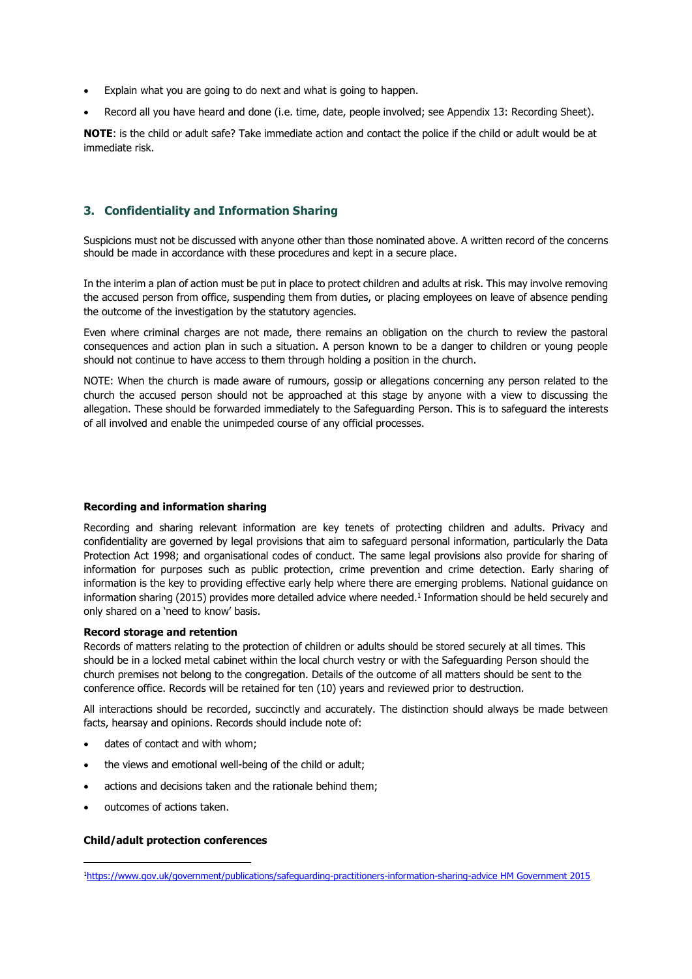- Explain what you are going to do next and what is going to happen.
- Record all you have heard and done (i.e. time, date, people involved; see Appendix 13: Recording Sheet).

**NOTE**: is the child or adult safe? Take immediate action and contact the police if the child or adult would be at immediate risk.

# **3. Confidentiality and Information Sharing**

Suspicions must not be discussed with anyone other than those nominated above. A written record of the concerns should be made in accordance with these procedures and kept in a secure place.

In the interim a plan of action must be put in place to protect children and adults at risk. This may involve removing the accused person from office, suspending them from duties, or placing employees on leave of absence pending the outcome of the investigation by the statutory agencies.

Even where criminal charges are not made, there remains an obligation on the church to review the pastoral consequences and action plan in such a situation. A person known to be a danger to children or young people should not continue to have access to them through holding a position in the church.

NOTE: When the church is made aware of rumours, gossip or allegations concerning any person related to the church the accused person should not be approached at this stage by anyone with a view to discussing the allegation. These should be forwarded immediately to the Safeguarding Person. This is to safeguard the interests of all involved and enable the unimpeded course of any official processes.

## **Recording and information sharing**

Recording and sharing relevant information are key tenets of protecting children and adults. Privacy and confidentiality are governed by legal provisions that aim to safeguard personal information, particularly the Data Protection Act 1998; and organisational codes of conduct. The same legal provisions also provide for sharing of information for purposes such as public protection, crime prevention and crime detection. Early sharing of information is the key to providing effective early help where there are emerging problems. National guidance on information sharing (2015) provides more detailed advice where needed. 1 Information should be held securely and only shared on a 'need to know' basis.

#### **Record storage and retention**

Records of matters relating to the protection of children or adults should be stored securely at all times. This should be in a locked metal cabinet within the local church vestry or with the Safeguarding Person should the church premises not belong to the congregation. Details of the outcome of all matters should be sent to the conference office. Records will be retained for ten (10) years and reviewed prior to destruction.

All interactions should be recorded, succinctly and accurately. The distinction should always be made between facts, hearsay and opinions. Records should include note of:

- dates of contact and with whom;
- the views and emotional well-being of the child or adult;
- actions and decisions taken and the rationale behind them;
- outcomes of actions taken.

#### **Child/adult protection conferences**

<sup>1</sup>[https://www.gov.uk/government/publications/safeguarding-practitioners-information-sharing-advice HM Government 2015](https://www.gov.uk/government/publications/safeguarding-practitioners-information-sharing-advice%20HM%20Government%202015)